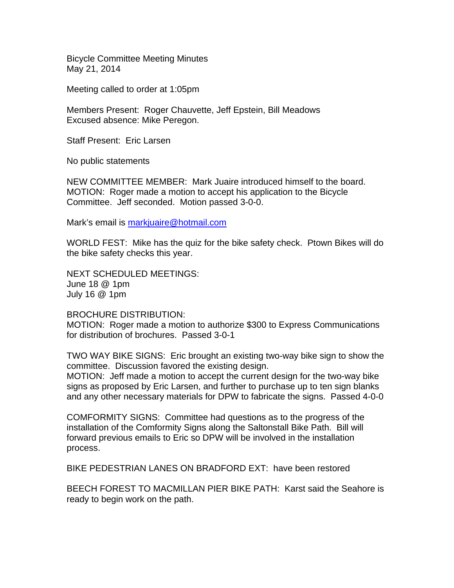Bicycle Committee Meeting Minutes May 21, 2014

Meeting called to order at 1:05pm

Members Present: Roger Chauvette, Jeff Epstein, Bill Meadows Excused absence: Mike Peregon.

Staff Present: Eric Larsen

No public statements

NEW COMMITTEE MEMBER: Mark Juaire introduced himself to the board. MOTION: Roger made a motion to accept his application to the Bicycle Committee. Jeff seconded. Motion passed 3-0-0.

Mark's email is markjuaire@hotmail.com

WORLD FEST: Mike has the quiz for the bike safety check. Ptown Bikes will do the bike safety checks this year.

NEXT SCHEDULED MEETINGS: June 18 @ 1pm July 16 @ 1pm

BROCHURE DISTRIBUTION:

MOTION: Roger made a motion to authorize \$300 to Express Communications for distribution of brochures. Passed 3-0-1

TWO WAY BIKE SIGNS: Eric brought an existing two-way bike sign to show the committee. Discussion favored the existing design.

MOTION: Jeff made a motion to accept the current design for the two-way bike signs as proposed by Eric Larsen, and further to purchase up to ten sign blanks and any other necessary materials for DPW to fabricate the signs. Passed 4-0-0

COMFORMITY SIGNS: Committee had questions as to the progress of the installation of the Comformity Signs along the Saltonstall Bike Path. Bill will forward previous emails to Eric so DPW will be involved in the installation process.

BIKE PEDESTRIAN LANES ON BRADFORD EXT: have been restored

BEECH FOREST TO MACMILLAN PIER BIKE PATH: Karst said the Seahore is ready to begin work on the path.